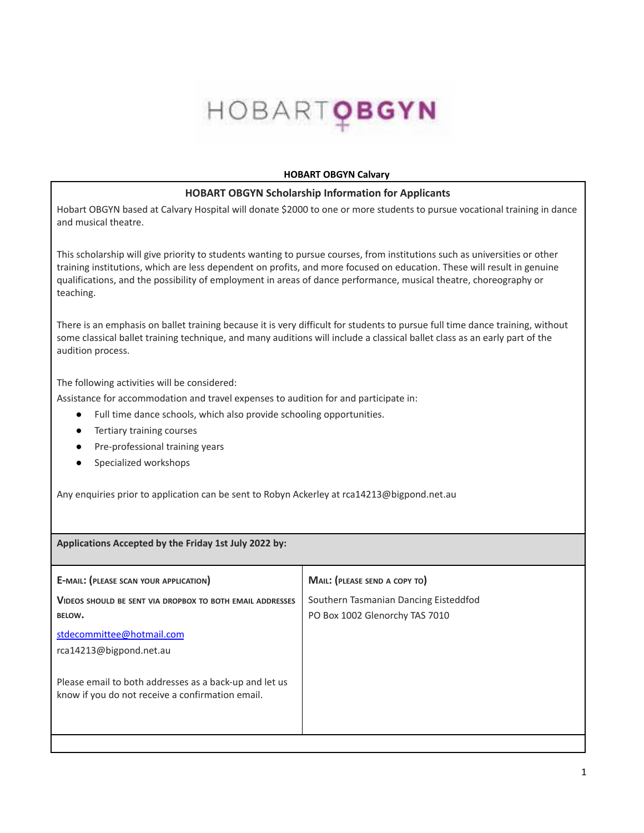## HOBARTOBGYN

## **HOBART OBGYN Calvary**

## **HOBART OBGYN Scholarship Information for Applicants**

Hobart OBGYN based at Calvary Hospital will donate \$2000 to one or more students to pursue vocational training in dance and musical theatre.

This scholarship will give priority to students wanting to pursue courses, from institutions such as universities or other training institutions, which are less dependent on profits, and more focused on education. These will result in genuine qualifications, and the possibility of employment in areas of dance performance, musical theatre, choreography or teaching.

There is an emphasis on ballet training because it is very difficult for students to pursue full time dance training, without some classical ballet training technique, and many auditions will include a classical ballet class as an early part of the audition process.

The following activities will be considered:

Assistance for accommodation and travel expenses to audition for and participate in:

- Full time dance schools, which also provide schooling opportunities.
- Tertiary training courses
- Pre-professional training years
- Specialized workshops

Any enquiries prior to application can be sent to Robyn Ackerley at rca14213@bigpond.net.au

**Applications Accepted by the Friday 1st July 2022 by:**

| <b>E-MAIL: (PLEASE SCAN YOUR APPLICATION)</b>                                                              | MAIL: (PLEASE SEND A COPY TO)                                           |
|------------------------------------------------------------------------------------------------------------|-------------------------------------------------------------------------|
| <b>VIDEOS SHOULD BE SENT VIA DROPBOX TO BOTH EMAIL ADDRESSES</b><br>BELOW.                                 | Southern Tasmanian Dancing Eisteddfod<br>PO Box 1002 Glenorchy TAS 7010 |
| stdecommittee@hotmail.com<br>rca14213@bigpond.net.au                                                       |                                                                         |
| Please email to both addresses as a back-up and let us<br>know if you do not receive a confirmation email. |                                                                         |
|                                                                                                            |                                                                         |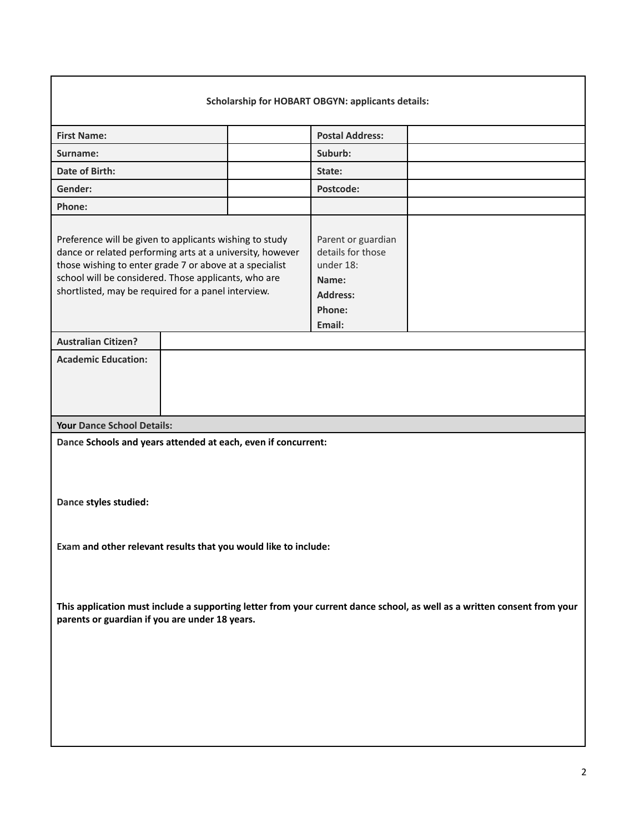| <b>Scholarship for HOBART OBGYN: applicants details:</b>                                                                                                                                                                                                                                       |  |                                                                                                      |  |  |  |
|------------------------------------------------------------------------------------------------------------------------------------------------------------------------------------------------------------------------------------------------------------------------------------------------|--|------------------------------------------------------------------------------------------------------|--|--|--|
| <b>First Name:</b>                                                                                                                                                                                                                                                                             |  | <b>Postal Address:</b>                                                                               |  |  |  |
| Surname:                                                                                                                                                                                                                                                                                       |  | Suburb:                                                                                              |  |  |  |
| Date of Birth:                                                                                                                                                                                                                                                                                 |  | State:                                                                                               |  |  |  |
| Gender:                                                                                                                                                                                                                                                                                        |  | Postcode:                                                                                            |  |  |  |
| Phone:                                                                                                                                                                                                                                                                                         |  |                                                                                                      |  |  |  |
| Preference will be given to applicants wishing to study<br>dance or related performing arts at a university, however<br>those wishing to enter grade 7 or above at a specialist<br>school will be considered. Those applicants, who are<br>shortlisted, may be required for a panel interview. |  | Parent or guardian<br>details for those<br>under 18:<br>Name:<br><b>Address:</b><br>Phone:<br>Email: |  |  |  |
| <b>Australian Citizen?</b>                                                                                                                                                                                                                                                                     |  |                                                                                                      |  |  |  |
| <b>Academic Education:</b>                                                                                                                                                                                                                                                                     |  |                                                                                                      |  |  |  |
| <b>Your Dance School Details:</b>                                                                                                                                                                                                                                                              |  |                                                                                                      |  |  |  |
| Dance Schools and years attended at each, even if concurrent:<br>Dance styles studied:                                                                                                                                                                                                         |  |                                                                                                      |  |  |  |
| Exam and other relevant results that you would like to include:                                                                                                                                                                                                                                |  |                                                                                                      |  |  |  |
| This application must include a supporting letter from your current dance school, as well as a written consent from your<br>parents or guardian if you are under 18 years.                                                                                                                     |  |                                                                                                      |  |  |  |
|                                                                                                                                                                                                                                                                                                |  |                                                                                                      |  |  |  |

г